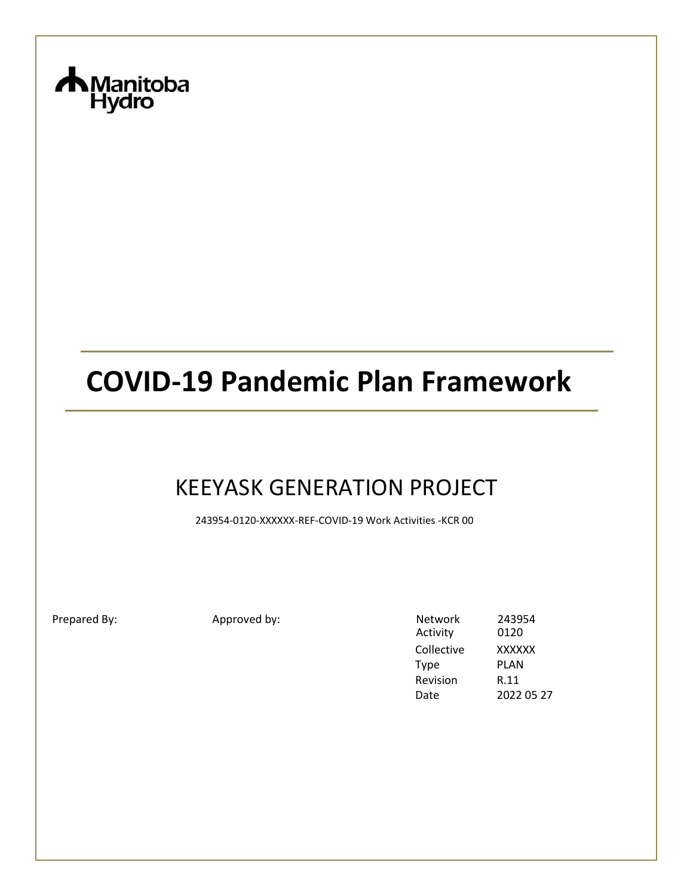

# **COVID-19 Pandemic Plan Framework**

# KEEYASK GENERATION PROJECT

243954-0120-XXXXXX-REF-COVID-19 Work Activities -KCR 00

Prepared By: Approved by:

| Network     | 243954        |
|-------------|---------------|
| Activity    | 0120          |
| Collective  | <b>XXXXXX</b> |
| <b>Type</b> | PLAN          |
| Revision    | R.11          |
| Date        | 2022 05 27    |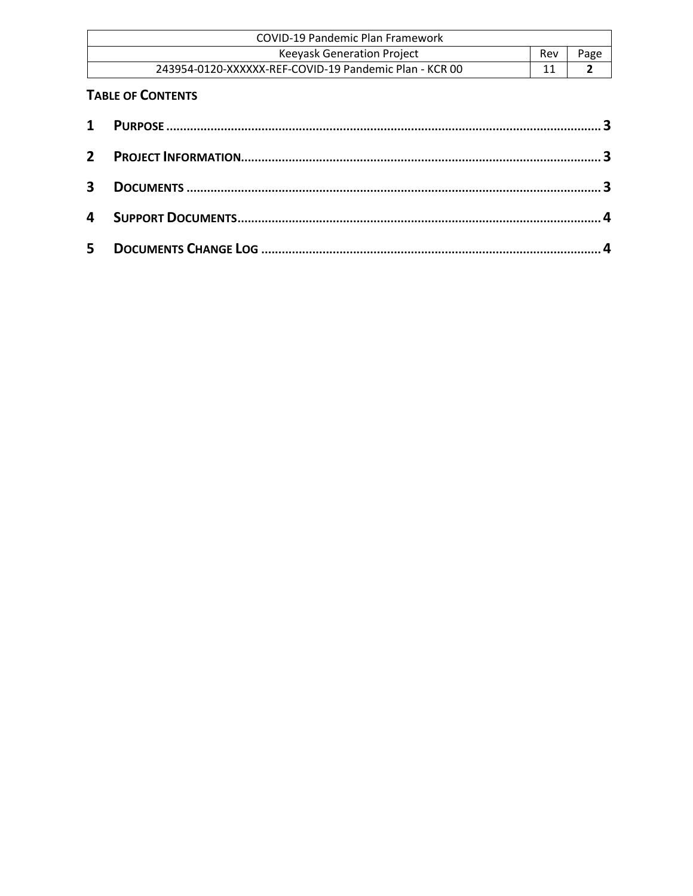| COVID-19 Pandemic Plan Framework                       |     |      |
|--------------------------------------------------------|-----|------|
| Keeyask Generation Project                             | Rev | Page |
| 243954-0120-XXXXXX-REF-COVID-19 Pandemic Plan - KCR 00 |     |      |

#### **TABLE OF CONTENTS**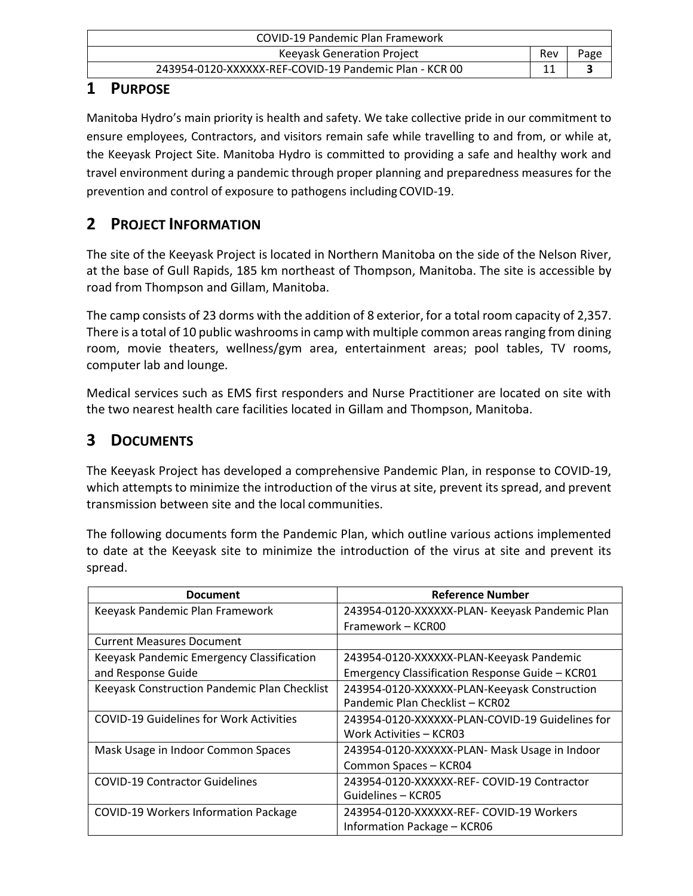| COVID-19 Pandemic Plan Framework                       |     |      |
|--------------------------------------------------------|-----|------|
| Keeyask Generation Project                             | Rev | Page |
| 243954-0120-XXXXXX-REF-COVID-19 Pandemic Plan - KCR 00 |     |      |

#### <span id="page-2-0"></span>**1 PURPOSE**

Manitoba Hydro's main priority is health and safety. We take collective pride in our commitment to ensure employees, Contractors, and visitors remain safe while travelling to and from, or while at, the Keeyask Project Site. Manitoba Hydro is committed to providing a safe and healthy work and travel environment during a pandemic through proper planning and preparedness measures for the prevention and control of exposure to pathogens including COVID-19.

## <span id="page-2-1"></span>**2 PROJECT INFORMATION**

The site of the Keeyask Project is located in Northern Manitoba on the side of the Nelson River, at the base of Gull Rapids, 185 km northeast of Thompson, Manitoba. The site is accessible by road from Thompson and Gillam, Manitoba.

The camp consists of 23 dorms with the addition of 8 exterior, for a total room capacity of 2,357. There is a total of 10 public washrooms in camp with multiple common areas ranging from dining room, movie theaters, wellness/gym area, entertainment areas; pool tables, TV rooms, computer lab and lounge.

Medical services such as EMS first responders and Nurse Practitioner are located on site with the two nearest health care facilities located in Gillam and Thompson, Manitoba.

### <span id="page-2-2"></span>**3 DOCUMENTS**

The Keeyask Project has developed a comprehensive Pandemic Plan, in response to COVID-19, which attempts to minimize the introduction of the virus at site, prevent its spread, and prevent transmission between site and the local communities.

The following documents form the Pandemic Plan, which outline various actions implemented to date at the Keeyask site to minimize the introduction of the virus at site and prevent its spread.

| <b>Document</b>                                | <b>Reference Number</b>                         |
|------------------------------------------------|-------------------------------------------------|
| Keeyask Pandemic Plan Framework                | 243954-0120-XXXXXX-PLAN- Keeyask Pandemic Plan  |
|                                                | Framework - KCR00                               |
| <b>Current Measures Document</b>               |                                                 |
| Keeyask Pandemic Emergency Classification      | 243954-0120-XXXXXX-PLAN-Keeyask Pandemic        |
| and Response Guide                             | Emergency Classification Response Guide - KCR01 |
| Keeyask Construction Pandemic Plan Checklist   | 243954-0120-XXXXXX-PLAN-Keeyask Construction    |
|                                                | Pandemic Plan Checklist - KCR02                 |
| <b>COVID-19 Guidelines for Work Activities</b> | 243954-0120-XXXXXX-PLAN-COVID-19 Guidelines for |
|                                                | Work Activities – KCR03                         |
| Mask Usage in Indoor Common Spaces             | 243954-0120-XXXXXX-PLAN- Mask Usage in Indoor   |
|                                                | Common Spaces - KCR04                           |
| <b>COVID-19 Contractor Guidelines</b>          | 243954-0120-XXXXXX-REF- COVID-19 Contractor     |
|                                                | Guidelines – KCR05                              |
| <b>COVID-19 Workers Information Package</b>    | 243954-0120-XXXXXX-REF- COVID-19 Workers        |
|                                                | Information Package - KCR06                     |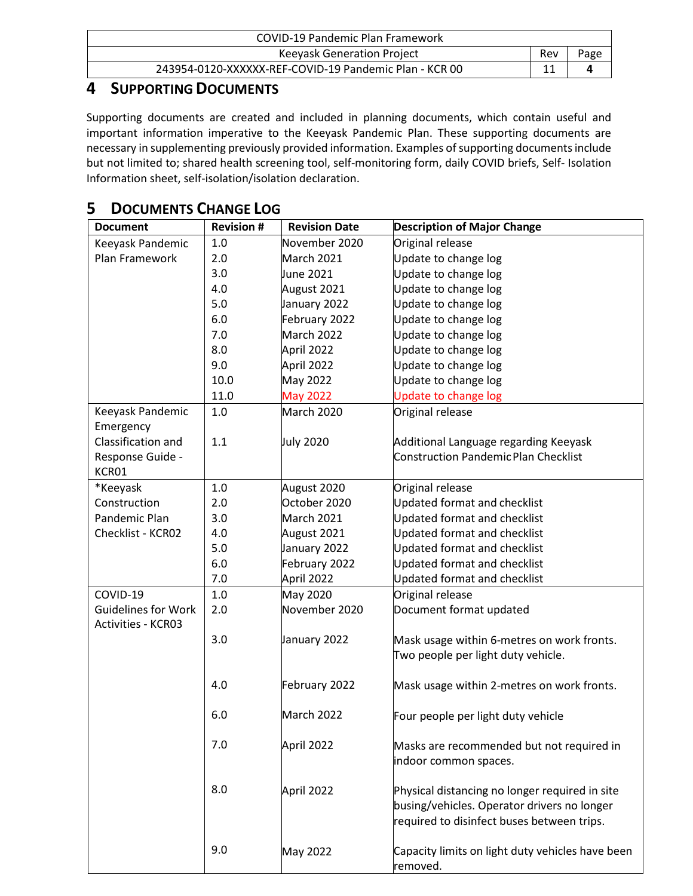| COVID-19 Pandemic Plan Framework                       |     |      |
|--------------------------------------------------------|-----|------|
| Keeyask Generation Project                             | Rev | Page |
| 243954-0120-XXXXXX-REF-COVID-19 Pandemic Plan - KCR 00 |     |      |

#### <span id="page-3-0"></span>**4 SUPPORTING DOCUMENTS**

Supporting documents are created and included in planning documents, which contain useful and important information imperative to the Keeyask Pandemic Plan. These supporting documents are necessary in supplementing previously provided information. Examples of supporting documents include but not limited to; shared health screening tool, self-monitoring form, daily COVID briefs, Self- Isolation Information sheet, self-isolation/isolation declaration.

### <span id="page-3-1"></span>**5 DOCUMENTS CHANGE LOG**

| <b>Document</b>                                         | <b>Revision #</b> | <b>Revision Date</b> | <b>Description of Major Change</b>                                                                                                          |
|---------------------------------------------------------|-------------------|----------------------|---------------------------------------------------------------------------------------------------------------------------------------------|
| Keeyask Pandemic                                        | 1.0               | November 2020        | Original release                                                                                                                            |
| Plan Framework                                          | 2.0               | March 2021           | Update to change log                                                                                                                        |
|                                                         | 3.0               | June 2021            | Update to change log                                                                                                                        |
|                                                         | 4.0               | August 2021          | Update to change log                                                                                                                        |
|                                                         | 5.0               | January 2022         | Update to change log                                                                                                                        |
|                                                         | 6.0               | February 2022        | Update to change log                                                                                                                        |
|                                                         | 7.0               | March 2022           | Update to change log                                                                                                                        |
|                                                         | 8.0               | April 2022           | Update to change log                                                                                                                        |
|                                                         | 9.0               | April 2022           | Update to change log                                                                                                                        |
|                                                         | 10.0              | <b>May 2022</b>      | Update to change log                                                                                                                        |
|                                                         | 11.0              | <b>May 2022</b>      | Update to change log                                                                                                                        |
| Keeyask Pandemic                                        | 1.0               | March 2020           | Original release                                                                                                                            |
| Emergency                                               |                   |                      |                                                                                                                                             |
| Classification and                                      | 1.1               | <b>July 2020</b>     | Additional Language regarding Keeyask                                                                                                       |
| Response Guide -                                        |                   |                      | <b>Construction Pandemic Plan Checklist</b>                                                                                                 |
| KCR01                                                   |                   |                      |                                                                                                                                             |
| *Keeyask                                                | 1.0               | August 2020          | Original release                                                                                                                            |
| Construction                                            | 2.0               | October 2020         | <b>Updated format and checklist</b>                                                                                                         |
| Pandemic Plan                                           | 3.0               | March 2021           | <b>Updated format and checklist</b>                                                                                                         |
| Checklist - KCR02                                       | 4.0               | August 2021          | Updated format and checklist                                                                                                                |
|                                                         | 5.0               | January 2022         | <b>Updated format and checklist</b>                                                                                                         |
|                                                         | 6.0               | February 2022        | <b>Updated format and checklist</b>                                                                                                         |
|                                                         | 7.0               | April 2022           | <b>Updated format and checklist</b>                                                                                                         |
| COVID-19                                                | $1.0$             | May 2020             | Original release                                                                                                                            |
| <b>Guidelines for Work</b><br><b>Activities - KCR03</b> | 2.0               | November 2020        | Document format updated                                                                                                                     |
|                                                         | 3.0               | January 2022         | Mask usage within 6-metres on work fronts.                                                                                                  |
|                                                         |                   |                      | Two people per light duty vehicle.                                                                                                          |
|                                                         | 4.0               | February 2022        | Mask usage within 2-metres on work fronts.                                                                                                  |
|                                                         | 6.0               | March 2022           | Four people per light duty vehicle                                                                                                          |
|                                                         | 7.0               | April 2022           | Masks are recommended but not required in<br>indoor common spaces.                                                                          |
|                                                         | 8.0               | April 2022           | Physical distancing no longer required in site<br>busing/vehicles. Operator drivers no longer<br>required to disinfect buses between trips. |
|                                                         | 9.0               | <b>May 2022</b>      | Capacity limits on light duty vehicles have been<br>removed.                                                                                |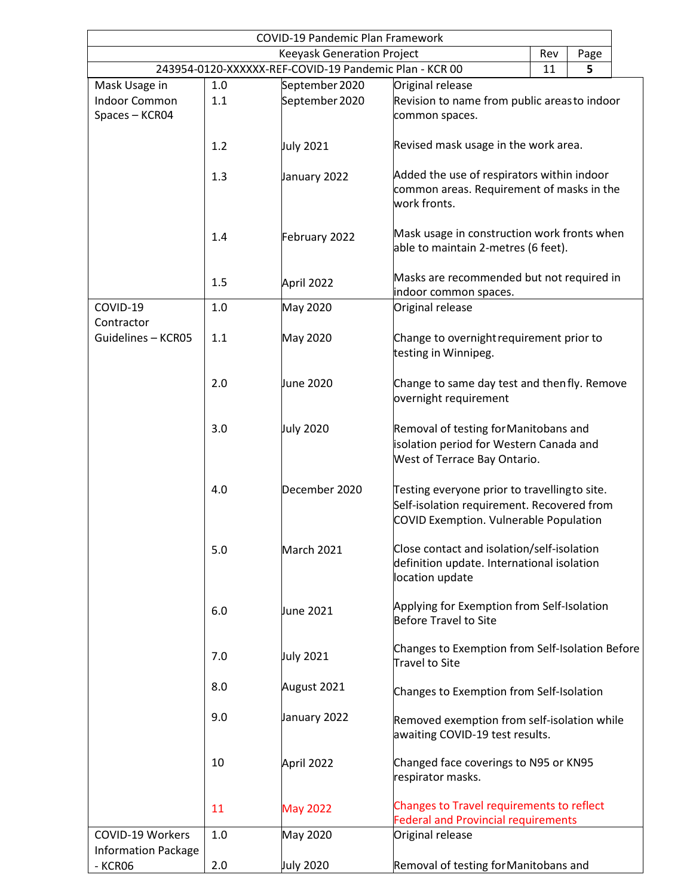| <b>COVID-19 Pandemic Plan Framework</b>          |                                            |                                                        |                                                                          |    |   |  |
|--------------------------------------------------|--------------------------------------------|--------------------------------------------------------|--------------------------------------------------------------------------|----|---|--|
| <b>Keeyask Generation Project</b><br>Rev<br>Page |                                            |                                                        |                                                                          |    |   |  |
|                                                  |                                            | 243954-0120-XXXXXX-REF-COVID-19 Pandemic Plan - KCR 00 |                                                                          | 11 | 5 |  |
| Mask Usage in                                    | 1.0                                        | September 2020                                         | Original release                                                         |    |   |  |
| <b>Indoor Common</b>                             | 1.1                                        | September 2020                                         | Revision to name from public areas to indoor                             |    |   |  |
| Spaces - KCR04                                   |                                            |                                                        | common spaces.                                                           |    |   |  |
|                                                  |                                            |                                                        |                                                                          |    |   |  |
|                                                  | 1.2                                        | July 2021                                              | Revised mask usage in the work area.                                     |    |   |  |
|                                                  |                                            |                                                        |                                                                          |    |   |  |
|                                                  | 1.3                                        | January 2022                                           | Added the use of respirators within indoor                               |    |   |  |
|                                                  |                                            |                                                        | common areas. Requirement of masks in the                                |    |   |  |
|                                                  |                                            |                                                        | work fronts.                                                             |    |   |  |
|                                                  |                                            |                                                        |                                                                          |    |   |  |
|                                                  | 1.4                                        | February 2022                                          | Mask usage in construction work fronts when                              |    |   |  |
|                                                  |                                            |                                                        | able to maintain 2-metres (6 feet).                                      |    |   |  |
|                                                  |                                            |                                                        | Masks are recommended but not required in                                |    |   |  |
|                                                  | 1.5                                        | April 2022                                             | indoor common spaces.                                                    |    |   |  |
| COVID-19                                         | 1.0                                        | May 2020                                               | Original release                                                         |    |   |  |
| Contractor                                       |                                            |                                                        |                                                                          |    |   |  |
| Guidelines - KCR05                               | 1.1                                        | May 2020                                               | Change to overnight requirement prior to                                 |    |   |  |
|                                                  |                                            |                                                        | testing in Winnipeg.                                                     |    |   |  |
|                                                  |                                            |                                                        |                                                                          |    |   |  |
|                                                  | 2.0                                        | <b>June 2020</b>                                       | Change to same day test and then fly. Remove                             |    |   |  |
|                                                  |                                            |                                                        | overnight requirement                                                    |    |   |  |
|                                                  |                                            |                                                        |                                                                          |    |   |  |
|                                                  | 3.0                                        | July 2020                                              | Removal of testing for Manitobans and                                    |    |   |  |
|                                                  |                                            |                                                        | isolation period for Western Canada and                                  |    |   |  |
|                                                  |                                            |                                                        | West of Terrace Bay Ontario.                                             |    |   |  |
|                                                  |                                            |                                                        |                                                                          |    |   |  |
|                                                  | 4.0                                        | December 2020                                          | Testing everyone prior to travellingto site.                             |    |   |  |
|                                                  |                                            |                                                        | Self-isolation requirement. Recovered from                               |    |   |  |
|                                                  |                                            |                                                        | COVID Exemption. Vulnerable Population                                   |    |   |  |
|                                                  |                                            |                                                        |                                                                          |    |   |  |
|                                                  | 5.0                                        | March 2021                                             | Close contact and isolation/self-isolation                               |    |   |  |
|                                                  |                                            |                                                        | definition update. International isolation                               |    |   |  |
|                                                  |                                            |                                                        | location update                                                          |    |   |  |
|                                                  |                                            |                                                        |                                                                          |    |   |  |
|                                                  | 6.0                                        | June 2021                                              | Applying for Exemption from Self-Isolation                               |    |   |  |
|                                                  |                                            |                                                        | Before Travel to Site                                                    |    |   |  |
|                                                  |                                            |                                                        |                                                                          |    |   |  |
|                                                  | 7.0                                        | <b>July 2021</b>                                       | Changes to Exemption from Self-Isolation Before<br><b>Travel to Site</b> |    |   |  |
|                                                  |                                            |                                                        |                                                                          |    |   |  |
|                                                  | 8.0                                        | August 2021                                            | Changes to Exemption from Self-Isolation                                 |    |   |  |
|                                                  |                                            |                                                        |                                                                          |    |   |  |
|                                                  | 9.0                                        | January 2022                                           | Removed exemption from self-isolation while                              |    |   |  |
|                                                  |                                            |                                                        | awaiting COVID-19 test results.                                          |    |   |  |
|                                                  |                                            |                                                        |                                                                          |    |   |  |
|                                                  | 10                                         | April 2022                                             | Changed face coverings to N95 or KN95                                    |    |   |  |
|                                                  |                                            |                                                        | respirator masks.                                                        |    |   |  |
|                                                  |                                            |                                                        |                                                                          |    |   |  |
|                                                  | 11                                         | <b>May 2022</b>                                        | <b>Changes to Travel requirements to reflect</b>                         |    |   |  |
|                                                  | <b>Federal and Provincial requirements</b> |                                                        |                                                                          |    |   |  |
| COVID-19 Workers                                 | 1.0                                        | May 2020                                               | Original release                                                         |    |   |  |
| <b>Information Package</b>                       |                                            |                                                        |                                                                          |    |   |  |
| - KCR06                                          | 2.0                                        | July 2020                                              | Removal of testing for Manitobans and                                    |    |   |  |